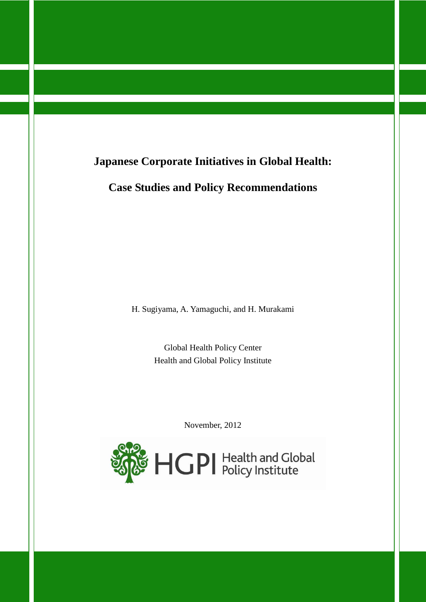# **Japanese Corporate Initiatives in Global Health:**

**Case Studies and Policy Recommendations**

H. Sugiyama, A. Yamaguchi, and H. Murakami

Global Health Policy Center Health and Global Policy Institute

November, 2012

<span id="page-0-0"></span>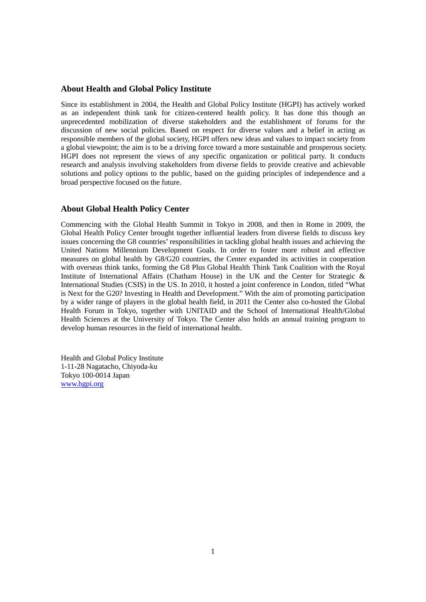### **About Health and Global Policy Institute**

Since its establishment in 2004, the Health and Global Policy Institute (HGPI) has actively worked as an independent think tank for citizen-centered health policy. It has done this though an unprecedented mobilization of diverse stakeholders and the establishment of forums for the discussion of new social policies. Based on respect for diverse values and a belief in acting as responsible members of the global society, HGPI offers new ideas and values to impact society from a global viewpoint; the aim is to be a driving force toward a more sustainable and prosperous society. HGPI does not represent the views of any specific organization or political party. It conducts research and analysis involving stakeholders from diverse fields to provide creative and achievable solutions and policy options to the public, based on the guiding principles of independence and a broad perspective focused on the future.

### **About Global Health Policy Center**

Commencing with the Global Health Summit in Tokyo in 2008, and then in Rome in 2009, the Global Health Policy Center brought together influential leaders from diverse fields to discuss key issues concerning the G8 countries' responsibilities in tackling global health issues and achieving the United Nations Millennium Development Goals. In order to foster more robust and effective measures on global health by G8/G20 countries, the Center expanded its activities in cooperation with overseas think tanks, forming the G8 Plus Global Health Think Tank Coalition with the Royal Institute of International Affairs (Chatham House) in the UK and the Center for Strategic & International Studies (CSIS) in the US. In 2010, it hosted a joint conference in London, titled "What is Next for the G20? Investing in Health and Development." With the aim of promoting participation by a wider range of players in the global health field, in 2011 the Center also co-hosted the Global Health Forum in Tokyo, together with UNITAID and the School of International Health/Global Health Sciences at the University of Tokyo. The Center also holds an annual training program to develop human resources in the field of international health.

Health and Global Policy Institute 1-11-28 Nagatacho, Chiyoda-ku Tokyo 100-0014 Japan [www.hgpi.org](http://www.hgpi.org/)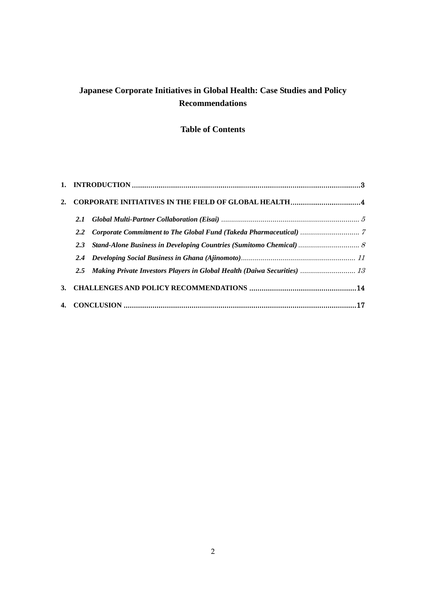# **Japanese Corporate Initiatives in Global Health: Case Studies and Policy Recommendations**

# **Table of Contents**

| <b>CORPORATE INITIATIVES IN THE FIELD OF GLOBAL HEALTH4</b> |                                                                              |  |  |
|-------------------------------------------------------------|------------------------------------------------------------------------------|--|--|
| 2.1                                                         |                                                                              |  |  |
| $2.2^{\circ}$                                               |                                                                              |  |  |
| 2.3                                                         | Stand-Alone Business in Developing Countries (Sumitomo Chemical)  8          |  |  |
|                                                             |                                                                              |  |  |
|                                                             | 2.5 Making Private Investors Players in Global Health (Daiwa Securities)  13 |  |  |
|                                                             |                                                                              |  |  |
|                                                             |                                                                              |  |  |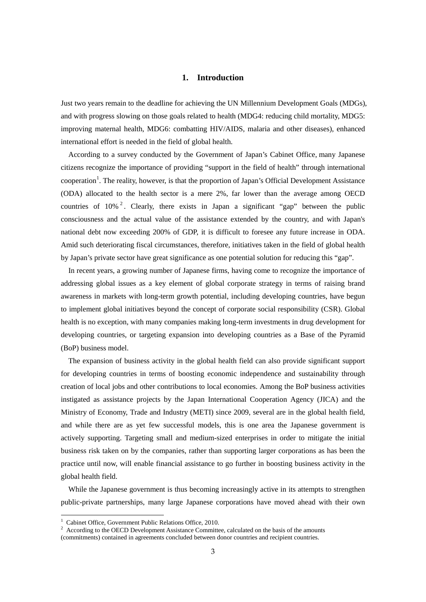## **1. Introduction**

<span id="page-3-0"></span>Just two years remain to the deadline for achieving the UN Millennium Development Goals (MDGs), and with progress slowing on those goals related to health (MDG4: reducing child mortality, MDG5: improving maternal health, MDG6: combatting HIV/AIDS, malaria and other diseases), enhanced international effort is needed in the field of global health.

According to a survey conducted by the Government of Japan's Cabinet Office, many Japanese citizens recognize the importance of providing "support in the field of health" through international cooperation<sup>[1](#page-0-0)</sup>. The reality, however, is that the proportion of Japan's Official Development Assistance (ODA) allocated to the health sector is a mere 2%, far lower than the average among OECD countries of  $10\%$ <sup>[2](#page-3-1)</sup>. Clearly, there exists in Japan a significant "gap" between the public consciousness and the actual value of the assistance extended by the country, and with Japan's national debt now exceeding 200% of GDP, it is difficult to foresee any future increase in ODA. Amid such deteriorating fiscal circumstances, therefore, initiatives taken in the field of global health by Japan's private sector have great significance as one potential solution for reducing this "gap".

In recent years, a growing number of Japanese firms, having come to recognize the importance of addressing global issues as a key element of global corporate strategy in terms of raising brand awareness in markets with long-term growth potential, including developing countries, have begun to implement global initiatives beyond the concept of corporate social responsibility (CSR). Global health is no exception, with many companies making long-term investments in drug development for developing countries, or targeting expansion into developing countries as a Base of the Pyramid (BoP) business model.

The expansion of business activity in the global health field can also provide significant support for developing countries in terms of boosting economic independence and sustainability through creation of local jobs and other contributions to local economies. Among the BoP business activities instigated as assistance projects by the Japan International Cooperation Agency (JICA) and the Ministry of Economy, Trade and Industry (METI) since 2009, several are in the global health field, and while there are as yet few successful models, this is one area the Japanese government is actively supporting. Targeting small and medium-sized enterprises in order to mitigate the initial business risk taken on by the companies, rather than supporting larger corporations as has been the practice until now, will enable financial assistance to go further in boosting business activity in the global health field.

While the Japanese government is thus becoming increasingly active in its attempts to strengthen public-private partnerships, many large Japanese corporations have moved ahead with their own

<span id="page-3-1"></span>

<span id="page-3-2"></span><sup>&</sup>lt;sup>1</sup> Cabinet Office, Government Public Relations Office, 2010.<br><sup>2</sup> According to the OECD Development Assistance Committee, calculated on the basis of the amounts (commitments) contained in agreements concluded between donor countries and recipient countries.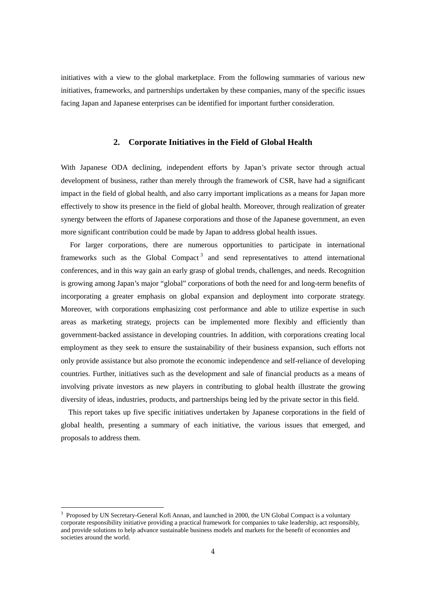initiatives with a view to the global marketplace. From the following summaries of various new initiatives, frameworks, and partnerships undertaken by these companies, many of the specific issues facing Japan and Japanese enterprises can be identified for important further consideration.

#### **2. Corporate Initiatives in the Field of Global Health**

<span id="page-4-0"></span>With Japanese ODA declining, independent efforts by Japan's private sector through actual development of business, rather than merely through the framework of CSR, have had a significant impact in the field of global health, and also carry important implications as a means for Japan more effectively to show its presence in the field of global health. Moreover, through realization of greater synergy between the efforts of Japanese corporations and those of the Japanese government, an even more significant contribution could be made by Japan to address global health issues.

For larger corporations, there are numerous opportunities to participate in international frameworks such as the Global Compact<sup>[3](#page-3-2)</sup> and send representatives to attend international conferences, and in this way gain an early grasp of global trends, challenges, and needs. Recognition is growing among Japan's major "global" corporations of both the need for and long-term benefits of incorporating a greater emphasis on global expansion and deployment into corporate strategy. Moreover, with corporations emphasizing cost performance and able to utilize expertise in such areas as marketing strategy, projects can be implemented more flexibly and efficiently than government-backed assistance in developing countries. In addition, with corporations creating local employment as they seek to ensure the sustainability of their business expansion, such efforts not only provide assistance but also promote the economic independence and self-reliance of developing countries. Further, initiatives such as the development and sale of financial products as a means of involving private investors as new players in contributing to global health illustrate the growing diversity of ideas, industries, products, and partnerships being led by the private sector in this field.

This report takes up five specific initiatives undertaken by Japanese corporations in the field of global health, presenting a summary of each initiative, the various issues that emerged, and proposals to address them.

<span id="page-4-1"></span> $3$  Proposed by UN Secretary-General Kofi Annan, and launched in 2000, the UN Global Compact is a voluntary corporate responsibility initiative providing a practical framework for companies to take leadership, act responsibly, and provide solutions to help advance sustainable business models and markets for the benefit of economies and societies around the world.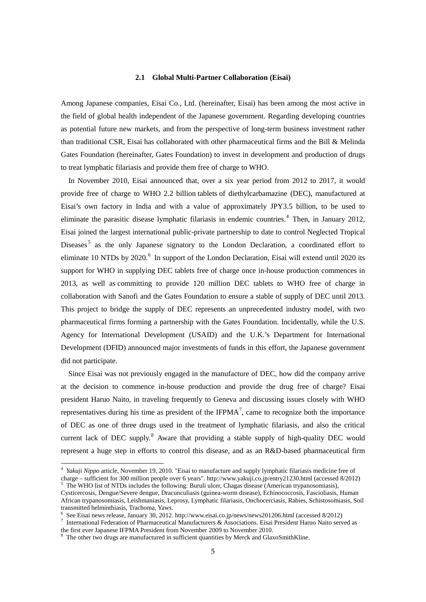#### **2.1 Global Multi-Partner Collaboration (Eisai)**

<span id="page-5-0"></span>Among Japanese companies, Eisai Co., Ltd. (hereinafter, Eisai) has been among the most active in the field of global health independent of the Japanese government. Regarding developing countries as potential future new markets, and from the perspective of long-term business investment rather than traditional CSR, Eisai has collaborated with other pharmaceutical firms and the Bill & Melinda Gates Foundation (hereinafter, Gates Foundation) to invest in development and production of drugs to treat lymphatic filariasis and provide them free of charge to WHO.

In November 2010, Eisai announced that, over a six year period from 2012 to 2017, it would provide free of charge to WHO 2.2 billion tablets of diethylcarbamazine (DEC), manufactured at Eisai's own factory in India and with a value of approximately JPY3.5 billion, to be used to eliminate the parasitic disease lymphatic filariasis in endemic countries.<sup>[4](#page-4-1)</sup> Then, in January 2012, Eisai joined the largest international public-private partnership to date to control Neglected Tropical Diseases<sup>[5](#page-5-1)</sup> as the only Japanese signatory to the London Declaration, a coordinated effort to eliminate 10 NTDs by 2020.<sup>[6](#page-5-2)</sup> In support of the London Declaration, Eisai will extend until 2020 its support for WHO in supplying DEC tablets free of charge once in-house production commences in 2013, as well as committing to provide 120 million DEC tablets to WHO free of charge in collaboration with Sanofi and the Gates Foundation to ensure a stable of supply of DEC until 2013. This project to bridge the supply of DEC represents an unprecedented industry model, with two pharmaceutical firms forming a partnership with the Gates Foundation. Incidentally, while the U.S. Agency for International Development (USAID) and the U.K.'s Department for International Development (DFID) announced major investments of funds in this effort, the Japanese government did not participate.

Since Eisai was not previously engaged in the manufacture of DEC, how did the company arrive at the decision to commence in-house production and provide the drug free of charge? Eisai president Haruo Naito, in traveling frequently to Geneva and discussing issues closely with WHO representatives during his time as president of the IFPMA<sup>[7](#page-5-3)</sup>, came to recognize both the importance of DEC as one of three drugs used in the treatment of lymphatic filariasis, and also the critical current lack of DEC supply.<sup>[8](#page-5-4)</sup> Aware that providing a stable supply of high-quality DEC would represent a huge step in efforts to control this disease, and as an R&D-based pharmaceutical firm

<sup>4</sup> *Yakuji Nippo* article, November 19, 2010. "Eisai to manufacture and supply lymphatic filariasis medicine free of charge – sufficient for 300 million people over 6 years". http://www.yakuji.co.jp/entry21230.html (accessed 8/2012)<br>
<sup>5</sup> The WHO list of NTDs includes the following: Buruli ulcer, Chagas disease (American trypanosomiasis),

<span id="page-5-5"></span><span id="page-5-1"></span>Cysticercosis, Dengue/Severe dengue, Dracunculiasis (guinea-worm disease), Echinococcosis, Fascioliasis, Human African trypanosomiasis, Leishmaniasis, Leprosy, Lymphatic filariasis, Onchocerciasis, Rabies, Schistosomiasis, Soil

<span id="page-5-2"></span><sup>&</sup>lt;sup>6</sup> See Eisai news release, January 30, 2012. http://www.eisai.co.jp/news/news201206.html (accessed 8/2012)<br><sup>7</sup> International Federation of Pharmaceutical Manufacturers & Associations. Eisai President Haruo Naito served a

<span id="page-5-4"></span><span id="page-5-3"></span>the first ever Japanese IFPMA President from November 2009 to November 2010.

The other two drugs are manufactured in sufficient quantities by Merck and GlaxoSmithKline.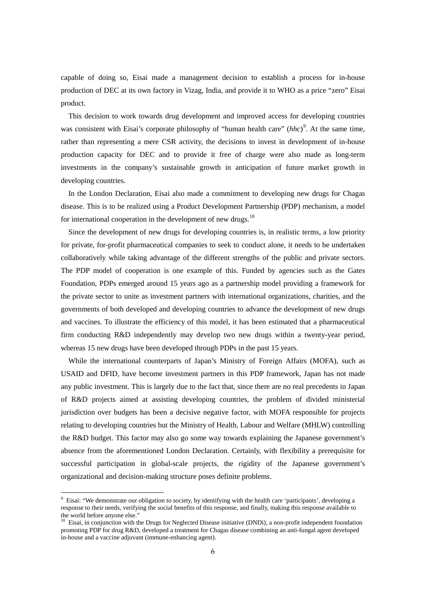capable of doing so, Eisai made a management decision to establish a process for in-house production of DEC at its own factory in Vizag, India, and provide it to WHO as a price "zero" Eisai product.

This decision to work towards drug development and improved access for developing countries was consistent with Eisai's corporate philosophy of "human health care" (*hhc*)<sup>[9](#page-5-5)</sup>. At the same time, rather than representing a mere CSR activity, the decisions to invest in development of in-house production capacity for DEC and to provide it free of charge were also made as long-term investments in the company's sustainable growth in anticipation of future market growth in developing countries.

In the London Declaration, Eisai also made a commitment to developing new drugs for Chagas disease. This is to be realized using a Product Development Partnership (PDP) mechanism, a model for international cooperation in the development of new drugs.<sup>[10](#page-6-0)</sup>

Since the development of new drugs for developing countries is, in realistic terms, a low priority for private, for-profit pharmaceutical companies to seek to conduct alone, it needs to be undertaken collaboratively while taking advantage of the different strengths of the public and private sectors. The PDP model of cooperation is one example of this. Funded by agencies such as the Gates Foundation, PDPs emerged around 15 years ago as a partnership model providing a framework for the private sector to unite as investment partners with international organizations, charities, and the governments of both developed and developing countries to advance the development of new drugs and vaccines. To illustrate the efficiency of this model, it has been estimated that a pharmaceutical firm conducting R&D independently may develop two new drugs within a twenty-year period, whereas 15 new drugs have been developed through PDPs in the past 15 years.

While the international counterparts of Japan's Ministry of Foreign Affairs (MOFA), such as USAID and DFID, have become investment partners in this PDP framework, Japan has not made any public investment. This is largely due to the fact that, since there are no real precedents in Japan of R&D projects aimed at assisting developing countries, the problem of divided ministerial jurisdiction over budgets has been a decisive negative factor, with MOFA responsible for projects relating to developing countries but the Ministry of Health, Labour and Welfare (MHLW) controlling the R&D budget. This factor may also go some way towards explaining the Japanese government's absence from the aforementioned London Declaration. Certainly, with flexibility a prerequisite for successful participation in global-scale projects, the rigidity of the Japanese government's organizational and decision-making structure poses definite problems.

<sup>&</sup>lt;sup>9</sup> Eisai: "We demonstrate our obligation to society, by identifying with the health care 'participants', developing a response to their needs, verifying the social benefits of this response, and finally, making this response available to

<span id="page-6-1"></span><span id="page-6-0"></span> $10$  Eisai, in conjunction with the Drugs for Neglected Disease initiative (DNDi), a non-profit independent foundation promoting PDP for drug R&D, developed a treatment for Chagas disease combining an anti-fungal agent developed in-house and a vaccine adjuvant (immune-enhancing agent).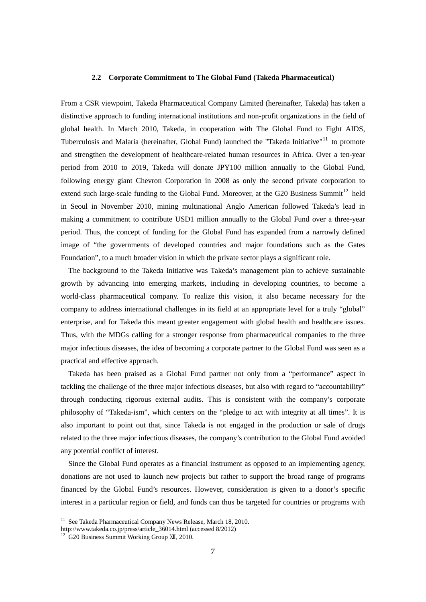#### **2.2 Corporate Commitment to The Global Fund (Takeda Pharmaceutical)**

<span id="page-7-0"></span>From a CSR viewpoint, Takeda Pharmaceutical Company Limited (hereinafter, Takeda) has taken a distinctive approach to funding international institutions and non-profit organizations in the field of global health. In March 2010, Takeda, in cooperation with The Global Fund to Fight AIDS, Tuberculosis and Malaria (hereinafter, Global Fund) launched the "Takeda Initiative"<sup>[11](#page-6-1)</sup> to promote and strengthen the development of healthcare-related human resources in Africa. Over a ten-year period from 2010 to 2019, Takeda will donate JPY100 million annually to the Global Fund, following energy giant Chevron Corporation in 2008 as only the second private corporation to extend such large-scale funding to the Global Fund. Moreover, at the G20 Business Summit<sup>[12](#page-7-1)</sup> held in Seoul in November 2010, mining multinational Anglo American followed Takeda's lead in making a commitment to contribute USD1 million annually to the Global Fund over a three-year period. Thus, the concept of funding for the Global Fund has expanded from a narrowly defined image of "the governments of developed countries and major foundations such as the Gates Foundation", to a much broader vision in which the private sector plays a significant role.

The background to the Takeda Initiative was Takeda's management plan to achieve sustainable growth by advancing into emerging markets, including in developing countries, to become a world-class pharmaceutical company. To realize this vision, it also became necessary for the company to address international challenges in its field at an appropriate level for a truly "global" enterprise, and for Takeda this meant greater engagement with global health and healthcare issues. Thus, with the MDGs calling for a stronger response from pharmaceutical companies to the three major infectious diseases, the idea of becoming a corporate partner to the Global Fund was seen as a practical and effective approach.

Takeda has been praised as a Global Fund partner not only from a "performance" aspect in tackling the challenge of the three major infectious diseases, but also with regard to "accountability" through conducting rigorous external audits. This is consistent with the company's corporate philosophy of "Takeda-ism", which centers on the "pledge to act with integrity at all times". It is also important to point out that, since Takeda is not engaged in the production or sale of drugs related to the three major infectious diseases, the company's contribution to the Global Fund avoided any potential conflict of interest.

Since the Global Fund operates as a financial instrument as opposed to an implementing agency, donations are not used to launch new projects but rather to support the broad range of programs financed by the Global Fund's resources. However, consideration is given to a donor's specific interest in a particular region or field, and funds can thus be targeted for countries or programs with

<sup>&</sup>lt;sup>11</sup> See Takeda Pharmaceutical Company News Release, March 18, 2010.

<span id="page-7-2"></span>http://www.takeda.co.jp/press/article\_36014.html (accessed 8/2012)

<span id="page-7-1"></span><sup>&</sup>lt;sup>12</sup> G20 Business Summit Working Group XII, 2010.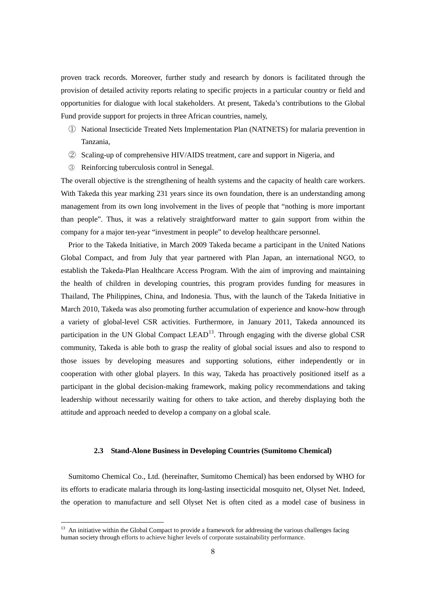proven track records. Moreover, further study and research by donors is facilitated through the provision of detailed activity reports relating to specific projects in a particular country or field and opportunities for dialogue with local stakeholders. At present, Takeda's contributions to the Global Fund provide support for projects in three African countries, namely,

- ① National Insecticide Treated Nets Implementation Plan (NATNETS) for malaria prevention in Tanzania,
- ② Scaling-up of comprehensive HIV/AIDS treatment, care and support in Nigeria, and
- ③ Reinforcing tuberculosis control in Senegal.

The overall objective is the strengthening of health systems and the capacity of health care workers. With Takeda this year marking 231 years since its own foundation, there is an understanding among management from its own long involvement in the lives of people that "nothing is more important than people". Thus, it was a relatively straightforward matter to gain support from within the company for a major ten-year "investment in people" to develop healthcare personnel.

Prior to the Takeda Initiative, in March 2009 Takeda became a participant in the United Nations Global Compact, and from July that year partnered with Plan Japan, an international NGO, to establish the Takeda-Plan Healthcare Access Program. With the aim of improving and maintaining the health of children in developing countries, this program provides funding for measures in Thailand, The Philippines, China, and Indonesia. Thus, with the launch of the Takeda Initiative in March 2010, Takeda was also promoting further accumulation of experience and know-how through a variety of global-level CSR activities. Furthermore, in January 2011, Takeda announced its participation in the UN Global Compact LEAD<sup>13</sup>. Through engaging with the diverse global CSR community, Takeda is able both to grasp the reality of global social issues and also to respond to those issues by developing measures and supporting solutions, either independently or in cooperation with other global players. In this way, Takeda has proactively positioned itself as a participant in the global decision-making framework, making policy recommendations and taking leadership without necessarily waiting for others to take action, and thereby displaying both the attitude and approach needed to develop a company on a global scale.

#### **2.3 Stand-Alone Business in Developing Countries (Sumitomo Chemical)**

<span id="page-8-1"></span><span id="page-8-0"></span>Sumitomo Chemical Co., Ltd. (hereinafter, Sumitomo Chemical) has been endorsed by WHO for its efforts to eradicate malaria through its long-lasting insecticidal mosquito net, Olyset Net. Indeed, the operation to manufacture and sell Olyset Net is often cited as a model case of business in

<sup>&</sup>lt;sup>13</sup> An initiative within the Global Compact to provide a framework for addressing the various challenges facing human society through efforts to achieve higher levels of corporate sustainability performance.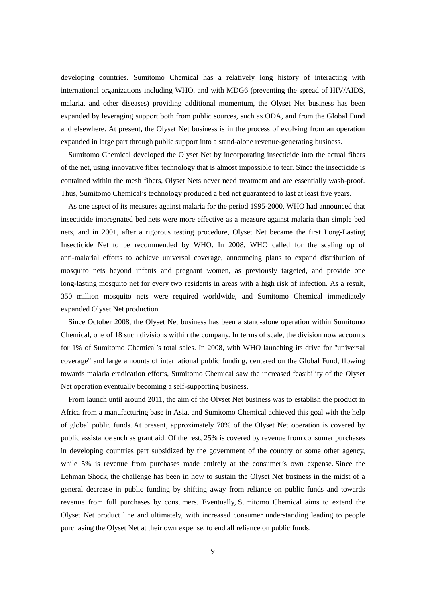developing countries. Sumitomo Chemical has a relatively long history of interacting with international organizations including WHO, and with MDG6 (preventing the spread of HIV/AIDS, malaria, and other diseases) providing additional momentum, the Olyset Net business has been expanded by leveraging support both from public sources, such as ODA, and from the Global Fund and elsewhere. At present, the Olyset Net business is in the process of evolving from an operation expanded in large part through public support into a stand-alone revenue-generating business.

Sumitomo Chemical developed the Olyset Net by incorporating insecticide into the actual fibers of the net, using innovative fiber technology that is almost impossible to tear. Since the insecticide is contained within the mesh fibers, Olyset Nets never need treatment and are essentially wash-proof. Thus, Sumitomo Chemical's technology produced a bed net guaranteed to last at least five years.

As one aspect of its measures against malaria for the period 1995-2000, WHO had announced that insecticide impregnated bed nets were more effective as a measure against malaria than simple bed nets, and in 2001, after a rigorous testing procedure, Olyset Net became the first Long-Lasting Insecticide Net to be recommended by WHO. In 2008, WHO called for the scaling up of anti-malarial efforts to achieve universal coverage, announcing plans to expand distribution of mosquito nets beyond infants and pregnant women, as previously targeted, and provide one long-lasting mosquito net for every two residents in areas with a high risk of infection. As a result, 350 million mosquito nets were required worldwide, and Sumitomo Chemical immediately expanded Olyset Net production.

Since October 2008, the Olyset Net business has been a stand-alone operation within Sumitomo Chemical, one of 18 such divisions within the company. In terms of scale, the division now accounts for 1% of Sumitomo Chemical's total sales. In 2008, with WHO launching its drive for "universal coverage" and large amounts of international public funding, centered on the Global Fund, flowing towards malaria eradication efforts, Sumitomo Chemical saw the increased feasibility of the Olyset Net operation eventually becoming a self-supporting business.

From launch until around 2011, the aim of the Olyset Net business was to establish the product in Africa from a manufacturing base in Asia, and Sumitomo Chemical achieved this goal with the help of global public funds. At present, approximately 70% of the Olyset Net operation is covered by public assistance such as grant aid. Of the rest, 25% is covered by revenue from consumer purchases in developing countries part subsidized by the government of the country or some other agency, while 5% is revenue from purchases made entirely at the consumer's own expense. Since the Lehman Shock, the challenge has been in how to sustain the Olyset Net business in the midst of a general decrease in public funding by shifting away from reliance on public funds and towards revenue from full purchases by consumers. Eventually, Sumitomo Chemical aims to extend the Olyset Net product line and ultimately, with increased consumer understanding leading to people purchasing the Olyset Net at their own expense, to end all reliance on public funds.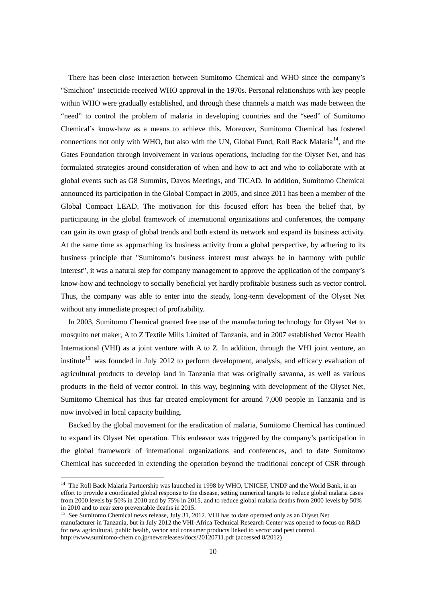There has been close interaction between Sumitomo Chemical and WHO since the company's "Smichion" insecticide received WHO approval in the 1970s. Personal relationships with key people within WHO were gradually established, and through these channels a match was made between the "need" to control the problem of malaria in developing countries and the "seed" of Sumitomo Chemical's know-how as a means to achieve this. Moreover, Sumitomo Chemical has fostered connections not only with WHO, but also with the UN, Global Fund, Roll Back Malaria<sup>14</sup>, and the Gates Foundation through involvement in various operations, including for the Olyset Net, and has formulated strategies around consideration of when and how to act and who to collaborate with at global events such as G8 Summits, Davos Meetings, and TICAD. In addition, Sumitomo Chemical announced its participation in the Global Compact in 2005, and since 2011 has been a member of the Global Compact LEAD. The motivation for this focused effort has been the belief that, by participating in the global framework of international organizations and conferences, the company can gain its own grasp of global trends and both extend its network and expand its business activity. At the same time as approaching its business activity from a global perspective, by adhering to its business principle that "Sumitomo's business interest must always be in harmony with public interest", it was a natural step for company management to approve the application of the company's know-how and technology to socially beneficial yet hardly profitable business such as vector control. Thus, the company was able to enter into the steady, long-term development of the Olyset Net without any immediate prospect of profitability.

In 2003, Sumitomo Chemical granted free use of the manufacturing technology for Olyset Net to mosquito net maker, A to Z Textile Mills Limited of Tanzania, and in 2007 established Vector Health International (VHI) as a joint venture with A to Z. In addition, through the VHI joint venture, an institute<sup>[15](#page-10-0)</sup> was founded in July 2012 to perform development, analysis, and efficacy evaluation of agricultural products to develop land in Tanzania that was originally savanna, as well as various products in the field of vector control. In this way, beginning with development of the Olyset Net, Sumitomo Chemical has thus far created employment for around 7,000 people in Tanzania and is now involved in local capacity building.

Backed by the global movement for the eradication of malaria, Sumitomo Chemical has continued to expand its Olyset Net operation. This endeavor was triggered by the company's participation in the global framework of international organizations and conferences, and to date Sumitomo Chemical has succeeded in extending the operation beyond the traditional concept of CSR through

<sup>&</sup>lt;sup>14</sup> The Roll Back Malaria Partnership was launched in 1998 by WHO, UNICEF, UNDP and the World Bank, in an effort to provide a coordinated global response to the disease, setting numerical targets to reduce global malaria cases from 2000 levels by 50% in 2010 and by 75% in 2015, and to reduce global malaria deaths from 2000 levels by 50%

<span id="page-10-1"></span><span id="page-10-0"></span><sup>&</sup>lt;sup>15</sup> See Sumitomo Chemical news release, July 31, 2012. VHI has to date operated only as an Olyset Net manufacturer in Tanzania, but in July 2012 the VHI-Africa Technical Research Center was opened to focus on R&D for new agricultural, public health, vector and consumer products linked to vector and pest control. http://www.sumitomo-chem.co.jp/newsreleases/docs/20120711.pdf (accessed 8/2012)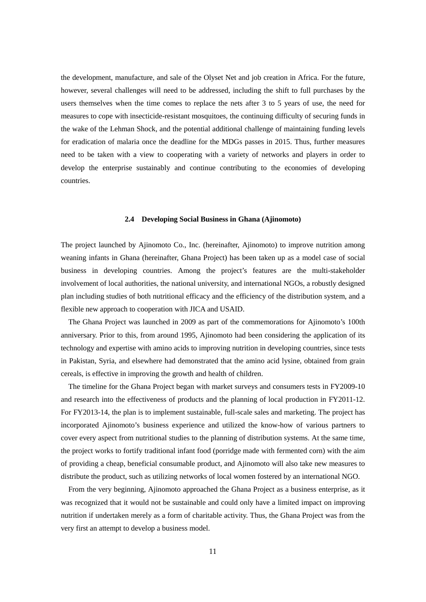the development, manufacture, and sale of the Olyset Net and job creation in Africa. For the future, however, several challenges will need to be addressed, including the shift to full purchases by the users themselves when the time comes to replace the nets after 3 to 5 years of use, the need for measures to cope with insecticide-resistant mosquitoes, the continuing difficulty of securing funds in the wake of the Lehman Shock, and the potential additional challenge of maintaining funding levels for eradication of malaria once the deadline for the MDGs passes in 2015. Thus, further measures need to be taken with a view to cooperating with a variety of networks and players in order to develop the enterprise sustainably and continue contributing to the economies of developing countries.

#### **2.4 Developing Social Business in Ghana (Ajinomoto)**

<span id="page-11-0"></span>The project launched by Ajinomoto Co., Inc. (hereinafter, Ajinomoto) to improve nutrition among weaning infants in Ghana (hereinafter, Ghana Project) has been taken up as a model case of social business in developing countries. Among the project's features are the multi-stakeholder involvement of local authorities, the national university, and international NGOs, a robustly designed plan including studies of both nutritional efficacy and the efficiency of the distribution system, and a flexible new approach to cooperation with JICA and USAID.

The Ghana Project was launched in 2009 as part of the commemorations for Ajinomoto's 100th anniversary. Prior to this, from around 1995, Ajinomoto had been considering the application of its technology and expertise with amino acids to improving nutrition in developing countries, since tests in Pakistan, Syria, and elsewhere had demonstrated that the amino acid lysine, obtained from grain cereals, is effective in improving the growth and health of children.

The timeline for the Ghana Project began with market surveys and consumers tests in FY2009-10 and research into the effectiveness of products and the planning of local production in FY2011-12. For FY2013-14, the plan is to implement sustainable, full-scale sales and marketing. The project has incorporated Ajinomoto's business experience and utilized the know-how of various partners to cover every aspect from nutritional studies to the planning of distribution systems. At the same time, the project works to fortify traditional infant food (porridge made with fermented corn) with the aim of providing a cheap, beneficial consumable product, and Ajinomoto will also take new measures to distribute the product, such as utilizing networks of local women fostered by an international NGO.

From the very beginning, Ajinomoto approached the Ghana Project as a business enterprise, as it was recognized that it would not be sustainable and could only have a limited impact on improving nutrition if undertaken merely as a form of charitable activity. Thus, the Ghana Project was from the very first an attempt to develop a business model.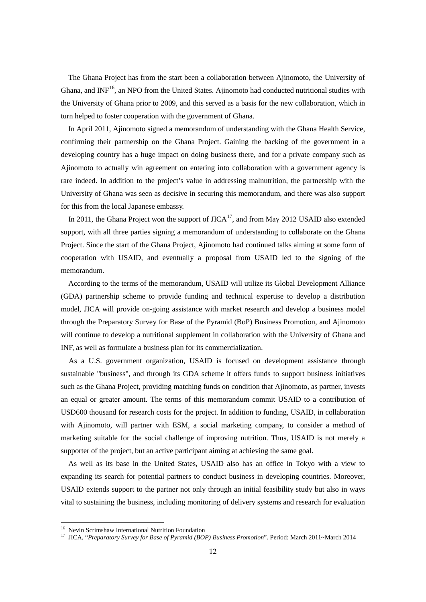The Ghana Project has from the start been a collaboration between Ajinomoto, the University of Ghana, and INF<sup>[16](#page-10-1)</sup>, an NPO from the United States. Ajinomoto had conducted nutritional studies with the University of Ghana prior to 2009, and this served as a basis for the new collaboration, which in turn helped to foster cooperation with the government of Ghana.

In April 2011, Ajinomoto signed a memorandum of understanding with the Ghana Health Service, confirming their partnership on the Ghana Project. Gaining the backing of the government in a developing country has a huge impact on doing business there, and for a private company such as Ajinomoto to actually win agreement on entering into collaboration with a government agency is rare indeed. In addition to the project's value in addressing malnutrition, the partnership with the University of Ghana was seen as decisive in securing this memorandum, and there was also support for this from the local Japanese embassy.

In 2011, the Ghana Project won the support of  $JICA^{17}$ , and from May 2012 USAID also extended support, with all three parties signing a memorandum of understanding to collaborate on the Ghana Project. Since the start of the Ghana Project, Ajinomoto had continued talks aiming at some form of cooperation with USAID, and eventually a proposal from USAID led to the signing of the memorandum.

According to the terms of the memorandum, USAID will utilize its Global Development Alliance (GDA) partnership scheme to provide funding and technical expertise to develop a distribution model, JICA will provide on-going assistance with market research and develop a business model through the Preparatory Survey for Base of the Pyramid (BoP) Business Promotion, and Ajinomoto will continue to develop a nutritional supplement in collaboration with the University of Ghana and INF, as well as formulate a business plan for its commercialization.

As a U.S. government organization, USAID is focused on development assistance through sustainable "business", and through its GDA scheme it offers funds to support business initiatives such as the Ghana Project, providing matching funds on condition that Ajinomoto, as partner, invests an equal or greater amount. The terms of this memorandum commit USAID to a contribution of USD600 thousand for research costs for the project. In addition to funding, USAID, in collaboration with Ajinomoto, will partner with ESM, a social marketing company, to consider a method of marketing suitable for the social challenge of improving nutrition. Thus, USAID is not merely a supporter of the project, but an active participant aiming at achieving the same goal.

As well as its base in the United States, USAID also has an office in Tokyo with a view to expanding its search for potential partners to conduct business in developing countries. Moreover, USAID extends support to the partner not only through an initial feasibility study but also in ways vital to sustaining the business, including monitoring of delivery systems and research for evaluation

<span id="page-12-0"></span>

<sup>&</sup>lt;sup>16</sup> Nevin Scrimshaw International Nutrition Foundation<br><sup>17</sup> JICA, "*Preparatory Survey for Base of Pyramid (BOP) Business Promotion*". Period: March 2011~March 2014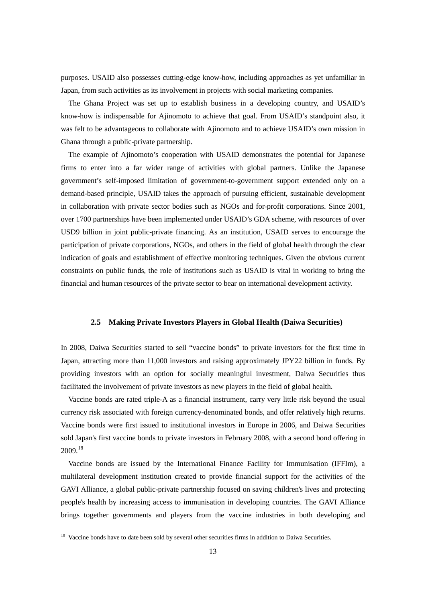purposes. USAID also possesses cutting-edge know-how, including approaches as yet unfamiliar in Japan, from such activities as its involvement in projects with social marketing companies.

The Ghana Project was set up to establish business in a developing country, and USAID's know-how is indispensable for Ajinomoto to achieve that goal. From USAID's standpoint also, it was felt to be advantageous to collaborate with Ajinomoto and to achieve USAID's own mission in Ghana through a public-private partnership.

The example of Ajinomoto's cooperation with USAID demonstrates the potential for Japanese firms to enter into a far wider range of activities with global partners. Unlike the Japanese government's self-imposed limitation of government-to-government support extended only on a demand-based principle, USAID takes the approach of pursuing efficient, sustainable development in collaboration with private sector bodies such as NGOs and for-profit corporations. Since 2001, over 1700 partnerships have been implemented under USAID's GDA scheme, with resources of over USD9 billion in joint public-private financing. As an institution, USAID serves to encourage the participation of private corporations, NGOs, and others in the field of global health through the clear indication of goals and establishment of effective monitoring techniques. Given the obvious current constraints on public funds, the role of institutions such as USAID is vital in working to bring the financial and human resources of the private sector to bear on international development activity.

#### **2.5 Making Private Investors Players in Global Health (Daiwa Securities)**

<span id="page-13-0"></span>In 2008, Daiwa Securities started to sell "vaccine bonds" to private investors for the first time in Japan, attracting more than 11,000 investors and raising approximately JPY22 billion in funds. By providing investors with an option for socially meaningful investment, Daiwa Securities thus facilitated the involvement of private investors as new players in the field of global health.

Vaccine bonds are rated triple-A as a financial instrument, carry very little risk beyond the usual currency risk associated with foreign currency-denominated bonds, and offer relatively high returns. Vaccine bonds were first issued to institutional investors in Europe in 2006, and Daiwa Securities sold Japan's first vaccine bonds to private investors in February 2008, with a second bond offering in 2009. [18](#page-12-0)

Vaccine bonds are issued by the International Finance Facility for Immunisation (IFFIm), a multilateral development institution created to provide financial support for the activities of the GAVI Alliance, a global public-private partnership focused on saving children's lives and protecting people's health by increasing access to immunisation in developing countries. The GAVI Alliance brings together governments and players from the vaccine industries in both developing and

<span id="page-13-1"></span><sup>&</sup>lt;sup>18</sup> Vaccine bonds have to date been sold by several other securities firms in addition to Daiwa Securities.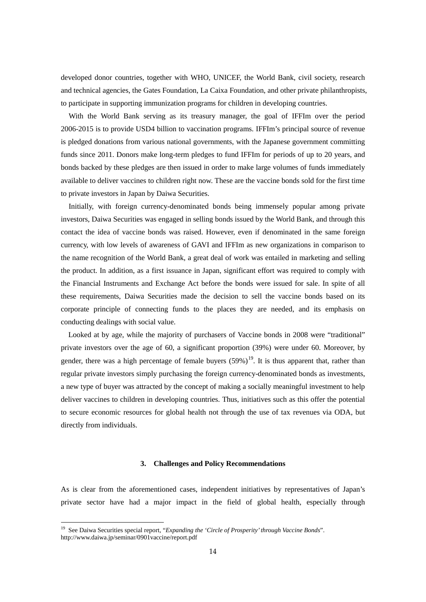developed donor countries, together with WHO, UNICEF, the World Bank, civil society, research and technical agencies, the Gates Foundation, La Caixa Foundation, and other private philanthropists, to participate in supporting immunization programs for children in developing countries.

With the World Bank serving as its treasury manager, the goal of IFFIm over the period 2006-2015 is to provide USD4 billion to vaccination programs. IFFIm's principal source of revenue is pledged donations from various national governments, with the Japanese government committing funds since 2011. Donors make long-term pledges to fund IFFIm for periods of up to 20 years, and bonds backed by these pledges are then issued in order to make large volumes of funds immediately available to deliver vaccines to children right now. These are the vaccine bonds sold for the first time to private investors in Japan by Daiwa Securities.

Initially, with foreign currency-denominated bonds being immensely popular among private investors, Daiwa Securities was engaged in selling bonds issued by the World Bank, and through this contact the idea of vaccine bonds was raised. However, even if denominated in the same foreign currency, with low levels of awareness of GAVI and IFFIm as new organizations in comparison to the name recognition of the World Bank, a great deal of work was entailed in marketing and selling the product. In addition, as a first issuance in Japan, significant effort was required to comply with the Financial Instruments and Exchange Act before the bonds were issued for sale. In spite of all these requirements, Daiwa Securities made the decision to sell the vaccine bonds based on its corporate principle of connecting funds to the places they are needed, and its emphasis on conducting dealings with social value.

Looked at by age, while the majority of purchasers of Vaccine bonds in 2008 were "traditional" private investors over the age of 60, a significant proportion (39%) were under 60. Moreover, by gender, there was a high percentage of female buyers  $(59\%)^{19}$  $(59\%)^{19}$  $(59\%)^{19}$ . It is thus apparent that, rather than regular private investors simply purchasing the foreign currency-denominated bonds as investments, a new type of buyer was attracted by the concept of making a socially meaningful investment to help deliver vaccines to children in developing countries. Thus, initiatives such as this offer the potential to secure economic resources for global health not through the use of tax revenues via ODA, but directly from individuals.

#### **3. Challenges and Policy Recommendations**

<span id="page-14-0"></span>As is clear from the aforementioned cases, independent initiatives by representatives of Japan's private sector have had a major impact in the field of global health, especially through

<sup>19</sup> See Daiwa Securities special report, "*Expanding the 'Circle of Prosperity' through Vaccine Bonds*". http://www.daiwa.jp/seminar/0901vaccine/report.pdf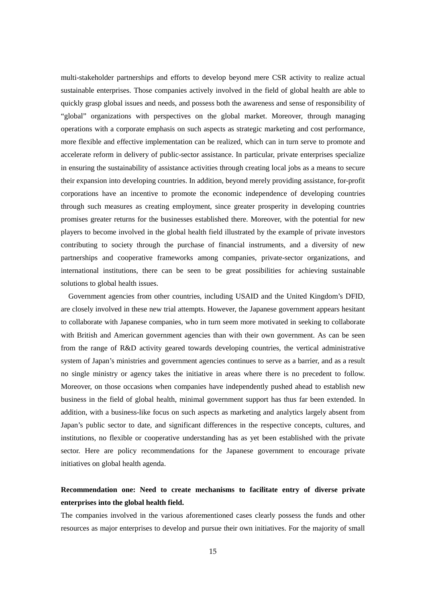multi-stakeholder partnerships and efforts to develop beyond mere CSR activity to realize actual sustainable enterprises. Those companies actively involved in the field of global health are able to quickly grasp global issues and needs, and possess both the awareness and sense of responsibility of "global" organizations with perspectives on the global market. Moreover, through managing operations with a corporate emphasis on such aspects as strategic marketing and cost performance, more flexible and effective implementation can be realized, which can in turn serve to promote and accelerate reform in delivery of public-sector assistance. In particular, private enterprises specialize in ensuring the sustainability of assistance activities through creating local jobs as a means to secure their expansion into developing countries. In addition, beyond merely providing assistance, for-profit corporations have an incentive to promote the economic independence of developing countries through such measures as creating employment, since greater prosperity in developing countries promises greater returns for the businesses established there. Moreover, with the potential for new players to become involved in the global health field illustrated by the example of private investors contributing to society through the purchase of financial instruments, and a diversity of new partnerships and cooperative frameworks among companies, private-sector organizations, and international institutions, there can be seen to be great possibilities for achieving sustainable solutions to global health issues.

Government agencies from other countries, including USAID and the United Kingdom's DFID, are closely involved in these new trial attempts. However, the Japanese government appears hesitant to collaborate with Japanese companies, who in turn seem more motivated in seeking to collaborate with British and American government agencies than with their own government. As can be seen from the range of R&D activity geared towards developing countries, the vertical administrative system of Japan's ministries and government agencies continues to serve as a barrier, and as a result no single ministry or agency takes the initiative in areas where there is no precedent to follow. Moreover, on those occasions when companies have independently pushed ahead to establish new business in the field of global health, minimal government support has thus far been extended. In addition, with a business-like focus on such aspects as marketing and analytics largely absent from Japan's public sector to date, and significant differences in the respective concepts, cultures, and institutions, no flexible or cooperative understanding has as yet been established with the private sector. Here are policy recommendations for the Japanese government to encourage private initiatives on global health agenda.

# **Recommendation one: Need to create mechanisms to facilitate entry of diverse private enterprises into the global health field.**

The companies involved in the various aforementioned cases clearly possess the funds and other resources as major enterprises to develop and pursue their own initiatives. For the majority of small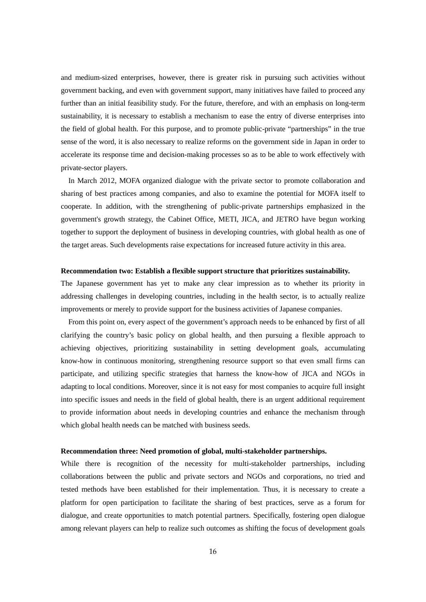and medium-sized enterprises, however, there is greater risk in pursuing such activities without government backing, and even with government support, many initiatives have failed to proceed any further than an initial feasibility study. For the future, therefore, and with an emphasis on long-term sustainability, it is necessary to establish a mechanism to ease the entry of diverse enterprises into the field of global health. For this purpose, and to promote public-private "partnerships" in the true sense of the word, it is also necessary to realize reforms on the government side in Japan in order to accelerate its response time and decision-making processes so as to be able to work effectively with private-sector players.

In March 2012, MOFA organized dialogue with the private sector to promote collaboration and sharing of best practices among companies, and also to examine the potential for MOFA itself to cooperate. In addition, with the strengthening of public-private partnerships emphasized in the government's growth strategy, the Cabinet Office, METI, JICA, and JETRO have begun working together to support the deployment of business in developing countries, with global health as one of the target areas. Such developments raise expectations for increased future activity in this area.

#### **Recommendation two: Establish a flexible support structure that prioritizes sustainability.**

The Japanese government has yet to make any clear impression as to whether its priority in addressing challenges in developing countries, including in the health sector, is to actually realize improvements or merely to provide support for the business activities of Japanese companies.

From this point on, every aspect of the government's approach needs to be enhanced by first of all clarifying the country's basic policy on global health, and then pursuing a flexible approach to achieving objectives, prioritizing sustainability in setting development goals, accumulating know-how in continuous monitoring, strengthening resource support so that even small firms can participate, and utilizing specific strategies that harness the know-how of JICA and NGOs in adapting to local conditions. Moreover, since it is not easy for most companies to acquire full insight into specific issues and needs in the field of global health, there is an urgent additional requirement to provide information about needs in developing countries and enhance the mechanism through which global health needs can be matched with business seeds.

#### **Recommendation three: Need promotion of global, multi-stakeholder partnerships.**

While there is recognition of the necessity for multi-stakeholder partnerships, including collaborations between the public and private sectors and NGOs and corporations, no tried and tested methods have been established for their implementation. Thus, it is necessary to create a platform for open participation to facilitate the sharing of best practices, serve as a forum for dialogue, and create opportunities to match potential partners. Specifically, fostering open dialogue among relevant players can help to realize such outcomes as shifting the focus of development goals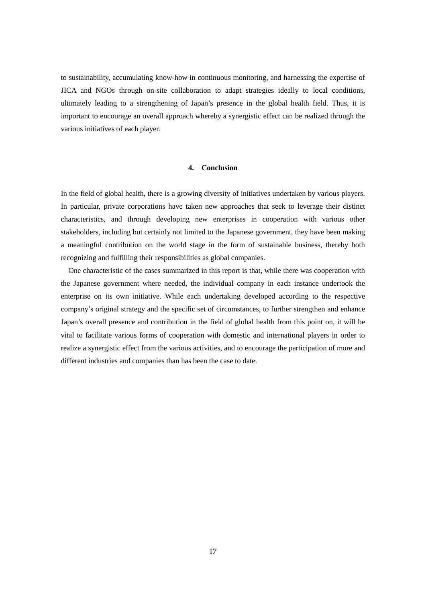to sustainability, accumulating know-how in continuous monitoring, and harnessing the expertise of JICA and NGOs through on-site collaboration to adapt strategies ideally to local conditions, ultimately leading to a strengthening of Japan's presence in the global health field. Thus, it is important to encourage an overall approach whereby a synergistic effect can be realized through the various initiatives of each player.

## **4. Conclusion**

<span id="page-17-0"></span>In the field of global health, there is a growing diversity of initiatives undertaken by various players. In particular, private corporations have taken new approaches that seek to leverage their distinct characteristics, and through developing new enterprises in cooperation with various other stakeholders, including but certainly not limited to the Japanese government, they have been making a meaningful contribution on the world stage in the form of sustainable business, thereby both recognizing and fulfilling their responsibilities as global companies.

One characteristic of the cases summarized in this report is that, while there was cooperation with the Japanese government where needed, the individual company in each instance undertook the enterprise on its own initiative. While each undertaking developed according to the respective company's original strategy and the specific set of circumstances, to further strengthen and enhance Japan's overall presence and contribution in the field of global health from this point on, it will be vital to facilitate various forms of cooperation with domestic and international players in order to realize a synergistic effect from the various activities, and to encourage the participation of more and different industries and companies than has been the case to date.